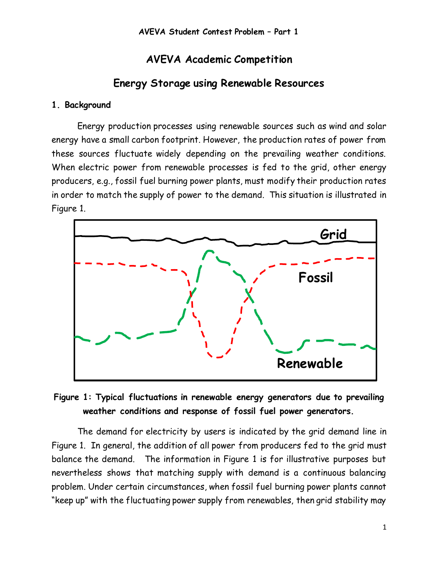# **AVEVA Academic Competition**

# **Energy Storage using Renewable Resources**

#### **1. Background**

Energy production processes using renewable sources such as wind and solar energy have a small carbon footprint. However, the production rates of power from these sources fluctuate widely depending on the prevailing weather conditions. When electric power from renewable processes is fed to the grid, other energy producers, e.g., fossil fuel burning power plants, must modify their production rates in order to match the supply of power to the demand. This situation is illustrated in Figure 1.



# **Figure 1: Typical fluctuations in renewable energy generators due to prevailing weather conditions and response of fossil fuel power generators.**

The demand for electricity by users is indicated by the grid demand line in Figure 1. In general, the addition of all power from producers fed to the grid must balance the demand. The information in Figure 1 is for illustrative purposes but nevertheless shows that matching supply with demand is a continuous balancing problem. Under certain circumstances, when fossil fuel burning power plants cannot "keep up" with the fluctuating power supply from renewables, then grid stability may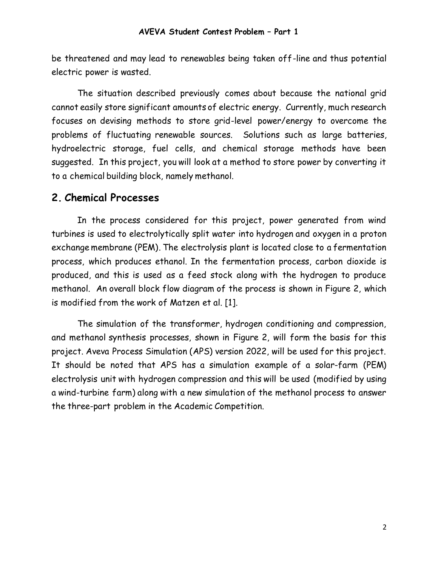be threatened and may lead to renewables being taken off-line and thus potential electric power is wasted.

The situation described previously comes about because the national grid cannot easily store significant amounts of electric energy. Currently, much research focuses on devising methods to store grid-level power/energy to overcome the problems of fluctuating renewable sources. Solutions such as large batteries, hydroelectric storage, fuel cells, and chemical storage methods have been suggested. In this project, you will look at a method to store power by converting it to a chemical building block, namely methanol.

# **2. Chemical Processes**

In the process considered for this project, power generated from wind turbines is used to electrolytically split water into hydrogen and oxygen in a proton exchange membrane (PEM). The electrolysis plant is located close to a fermentation process, which produces ethanol. In the fermentation process, carbon dioxide is produced, and this is used as a feed stock along with the hydrogen to produce methanol. An overall block flow diagram of the process is shown in Figure 2, which is modified from the work of Matzen et al. [1].

The simulation of the transformer, hydrogen conditioning and compression, and methanol synthesis processes, shown in Figure 2, will form the basis for this project. Aveva Process Simulation (APS) version 2022, will be used for this project. It should be noted that APS has a simulation example of a solar-farm (PEM) electrolysis unit with hydrogen compression and this will be used (modified by using a wind-turbine farm) along with a new simulation of the methanol process to answer the three-part problem in the Academic Competition.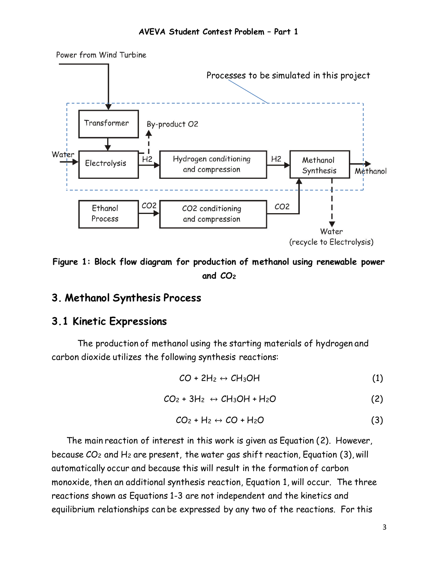

**Figure 1: Block flow diagram for production of methanol using renewable power and CO<sup>2</sup>**

## **3. Methanol Synthesis Process**

## **3.1 Kinetic Expressions**

The production of methanol using the starting materials of hydrogen and carbon dioxide utilizes the following synthesis reactions:

$$
CO + 2H_2 \leftrightarrow CH_3OH \tag{1}
$$

$$
CO_2 + 3H_2 \leftrightarrow CH_3OH + H_2O \tag{2}
$$

$$
CO_2 + H_2 \leftrightarrow CO + H_2O \tag{3}
$$

The main reaction of interest in this work is given as Equation (2). However, because  $CO<sub>2</sub>$  and H<sub>2</sub> are present, the water gas shift reaction, Equation (3), will automatically occur and because this will result in the formation of carbon monoxide, then an additional synthesis reaction, Equation 1, will occur. The three reactions shown as Equations 1-3 are not independent and the kinetics and equilibrium relationships can be expressed by any two of the reactions. For this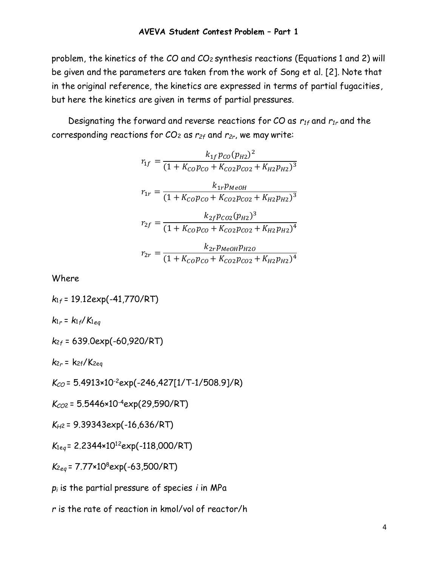problem, the kinetics of the CO and CO<sup>2</sup> synthesis reactions (Equations 1 and 2) will be given and the parameters are taken from the work of Song et al. [2]. Note that in the original reference, the kinetics are expressed in terms of partial fugacities, but here the kinetics are given in terms of partial pressures.

Designating the forward and reverse reactions for CO as *r1f* and *r1r* and the corresponding reactions for CO<sup>2</sup> as *r2f* and *r2r*, we may write:

$$
r_{1f} = \frac{k_{1f}p_{CO}(p_{H2})^2}{(1 + K_{CO}p_{CO} + K_{CO2}p_{CO2} + K_{H2}p_{H2})^3}
$$

$$
r_{1r} = \frac{k_{1r}p_{MeOH}}{(1 + K_{CO}p_{CO} + K_{CO2}p_{CO2} + K_{H2}p_{H2})^3}
$$

$$
r_{2f} = \frac{k_{2f}p_{CO2}(p_{H2})^3}{(1 + K_{CO}p_{CO} + K_{CO2}p_{CO2} + K_{H2}p_{H2})^4}
$$

$$
r_{2r} = \frac{k_{2r}p_{MeOH}p_{H2O}}{(1 + K_{CO}p_{CO} + K_{CO2}p_{CO2} + K_{H2}p_{H2})^4}
$$

Where

*k*<sup>1</sup>*<sup>f</sup>* = 19.12exp(-41,770/RT)  $k_{1r} = k_{1f}/K_{1eq}$ *k*<sup>2</sup>*<sup>f</sup>* = 639.0exp(-60,920/RT)  $k_{2r}$  =  $k_{2f}/K_{2eq}$ 

*KCO* = 5.4913×10-2exp(-246,427[1/T-1/508.9]/R)

*KCO*<sup>2</sup>= 5.5446×10-4exp(29,590/RT)

*KH*<sup>2</sup>= 9.39343exp(-16,636/RT)

*K*1e*<sup>q</sup>* = 2.2344×10<sup>12</sup>exp(-118,000/RT)

*K*<sup>2</sup>*eq* = 7.77×10<sup>8</sup>exp(-63,500/RT)

*p<sup>i</sup>* is the partial pressure of species *i* in MPa

*r* is the rate of reaction in kmol/vol of reactor/h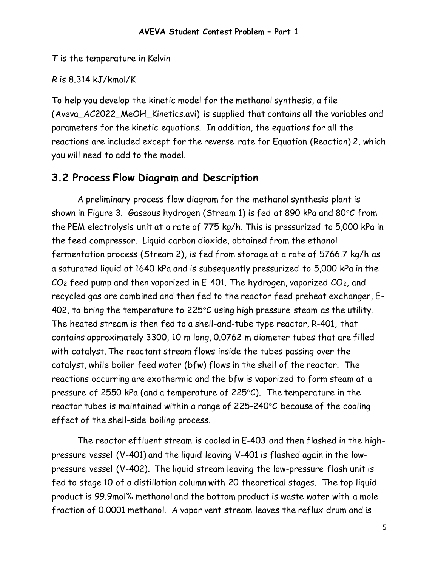*T* is the temperature in Kelvin

## *R* is 8.314 kJ/kmol/K

To help you develop the kinetic model for the methanol synthesis, a file (Aveva\_AC2022\_MeOH\_Kinetics.avi) is supplied that contains all the variables and parameters for the kinetic equations. In addition, the equations for all the reactions are included except for the reverse rate for Equation (Reaction) 2, which you will need to add to the model.

# **3.2 Process Flow Diagram and Description**

A preliminary process flow diagram for the methanol synthesis plant is shown in Figure 3. Gaseous hydrogen (Stream 1) is fed at 890 kPa and 80 $\degree$ C from the PEM electrolysis unit at a rate of 775 kg/h. This is pressurized to 5,000 kPa in the feed compressor. Liquid carbon dioxide, obtained from the ethanol fermentation process (Stream 2), is fed from storage at a rate of 5766.7 kg/h as a saturated liquid at 1640 kPa and is subsequently pressurized to 5,000 kPa in the  $CO<sub>2</sub>$  feed pump and then vaporized in E-401. The hydrogen, vaporized  $CO<sub>2</sub>$ , and recycled gas are combined and then fed to the reactor feed preheat exchanger, E-402, to bring the temperature to 225 $\degree$ C using high pressure steam as the utility. The heated stream is then fed to a shell-and-tube type reactor, R-401, that contains approximately 3300, 10 m long, 0.0762 m diameter tubes that are filled with catalyst. The reactant stream flows inside the tubes passing over the catalyst, while boiler feed water (bfw) flows in the shell of the reactor. The reactions occurring are exothermic and the bfw is vaporized to form steam at a pressure of 2550 kPa (and a temperature of 225 $\degree$ C). The temperature in the reactor tubes is maintained within a range of  $225-240^{\circ}C$  because of the cooling effect of the shell-side boiling process.

The reactor effluent stream is cooled in E-403 and then flashed in the highpressure vessel (V-401) and the liquid leaving V-401 is flashed again in the lowpressure vessel (V-402). The liquid stream leaving the low-pressure flash unit is fed to stage 10 of a distillation column with 20 theoretical stages. The top liquid product is 99.9mol% methanol and the bottom product is waste water with a mole fraction of 0.0001 methanol. A vapor vent stream leaves the reflux drum and is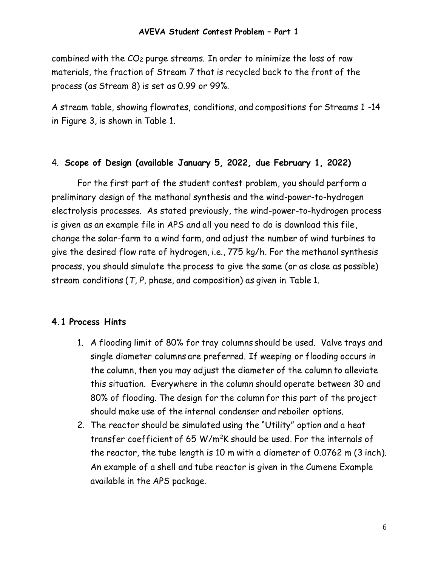combined with the  $CO<sub>2</sub>$  purge streams. In order to minimize the loss of raw materials, the fraction of Stream 7 that is recycled back to the front of the process (as Stream 8) is set as 0.99 or 99%.

A stream table, showing flowrates, conditions, and compositions for Streams 1 -14 in Figure 3, is shown in Table 1.

#### 4. **Scope of Design (available January 5, 2022, due February 1, 2022)**

For the first part of the student contest problem, you should perform a preliminary design of the methanol synthesis and the wind-power-to-hydrogen electrolysis processes. As stated previously, the wind-power-to-hydrogen process is given as an example file in APS and all you need to do is download this file, change the solar-farm to a wind farm, and adjust the number of wind turbines to give the desired flow rate of hydrogen, i.e., 775 kg/h. For the methanol synthesis process, you should simulate the process to give the same (or as close as possible) stream conditions (*T*, *P*, phase, and composition) as given in Table 1.

#### **4.1 Process Hints**

- 1. A flooding limit of 80% for tray columns should be used. Valve trays and single diameter columns are preferred. If weeping or flooding occurs in the column, then you may adjust the diameter of the column to alleviate this situation. Everywhere in the column should operate between 30 and 80% of flooding. The design for the column for this part of the project should make use of the internal condenser and reboiler options.
- 2. The reactor should be simulated using the "Utility" option and a heat transfer coefficient of 65 W/m<sup>2</sup>K should be used. For the internals of the reactor, the tube length is 10 m with a diameter of 0.0762 m (3 inch). An example of a shell and tube reactor is given in the Cumene Example available in the APS package.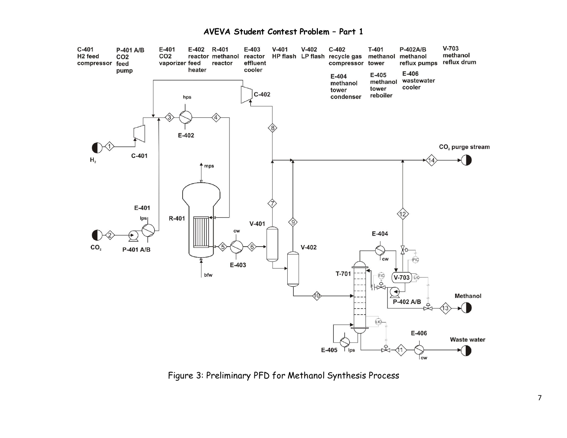#### **AVEVA Student Contest Problem – Part 1**



Figure 3: Preliminary PFD for Methanol Synthesis Process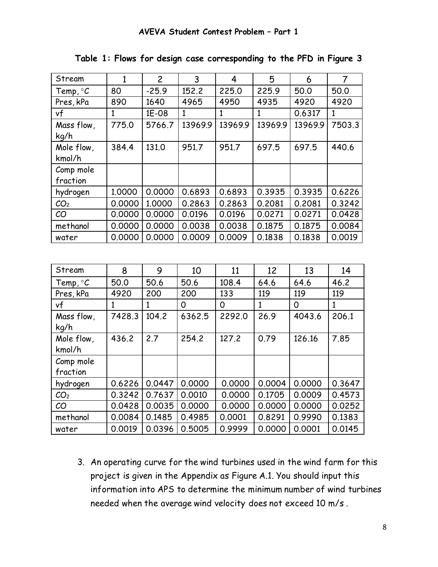| Stream              | 1            | $\overline{c}$ | 3       | 4       | 5       | 6       | $\overline{7}$ |
|---------------------|--------------|----------------|---------|---------|---------|---------|----------------|
| Temp, $\mathcal{C}$ | 80           | $-25.9$        | 152.2   | 225.0   | 225.9   | 50.0    | 50.0           |
| Pres, kPa           | 890          | 1640           | 4965    | 4950    | 4935    | 4920    | 4920           |
| vf                  | $\mathbf{1}$ | 1E-08          | 1       | 1       | 1       | 0.6317  | 1              |
| Mass flow,          | 775.0        | 5766.7         | 13969.9 | 13969.9 | 13969.9 | 13969.9 | 7503.3         |
| kq/h                |              |                |         |         |         |         |                |
| Mole flow,          | 384.4        | 131.0          | 951.7   | 951.7   | 697.5   | 697.5   | 440.6          |
| kmol/h              |              |                |         |         |         |         |                |
| Comp mole           |              |                |         |         |         |         |                |
| fraction            |              |                |         |         |         |         |                |
| hydrogen            | 1.0000       | 0.0000         | 0.6893  | 0.6893  | 0.3935  | 0.3935  | 0.6226         |
| CO <sub>2</sub>     | 0.0000       | 1.0000         | 0.2863  | 0.2863  | 0.2081  | 0.2081  | 0.3242         |
| CO                  | 0.0000       | 0.0000         | 0.0196  | 0.0196  | 0.0271  | 0.0271  | 0.0428         |
| methanol            | 0.0000       | 0.0000         | 0.0038  | 0.0038  | 0.1875  | 0.1875  | 0.0084         |
| water               | 0.0000       | 0.0000         | 0.0009  | 0.0009  | 0.1838  | 0.1838  | 0.0019         |
|                     |              |                |         |         |         |         |                |

**Table 1: Flows for design case corresponding to the PFD in Figure 3**

| Stream          | 8      | 9      | 10     | 11     | 12     | 13     | 14           |
|-----------------|--------|--------|--------|--------|--------|--------|--------------|
| Temp, $\circ C$ | 50.0   | 50.6   | 50.6   | 108.4  | 64.6   | 64.6   | 46.2         |
| Pres, kPa       | 4920   | 200    | 200    | 133    | 119    | 119    | 119          |
| vf              | 1      | 1      | 0      | 0      | 1      | 0      | $\mathbf{1}$ |
| Mass flow,      | 7428.3 | 104.2  | 6362.5 | 2292.0 | 26.9   | 4043.6 | 206.1        |
| kg/h            |        |        |        |        |        |        |              |
| Mole flow,      | 436.2  | 2.7    | 254.2  | 127.2  | 0.79   | 126.16 | 7.85         |
| kmol/h          |        |        |        |        |        |        |              |
| Comp mole       |        |        |        |        |        |        |              |
| fraction        |        |        |        |        |        |        |              |
| hydrogen        | 0.6226 | 0.0447 | 0.0000 | 0.0000 | 0.0004 | 0.0000 | 0.3647       |
| CO <sub>2</sub> | 0.3242 | 0.7637 | 0.0010 | 0.0000 | 0.1705 | 0.0009 | 0.4573       |
| CO              | 0.0428 | 0.0035 | 0.0000 | 0.0000 | 0.0000 | 0.0000 | 0.0252       |
| methanol        | 0.0084 | 0.1485 | 0.4985 | 0.0001 | 0.8291 | 0.9990 | 0.1383       |
| water           | 0.0019 | 0.0396 | 0.5005 | 0.9999 | 0.0000 | 0.0001 | 0.0145       |

3. An operating curve for the wind turbines used in the wind farm for this project is given in the Appendix as Figure A.1. You should input this information into APS to determine the minimum number of wind turbines needed when the average wind velocity does not exceed 10 m/s .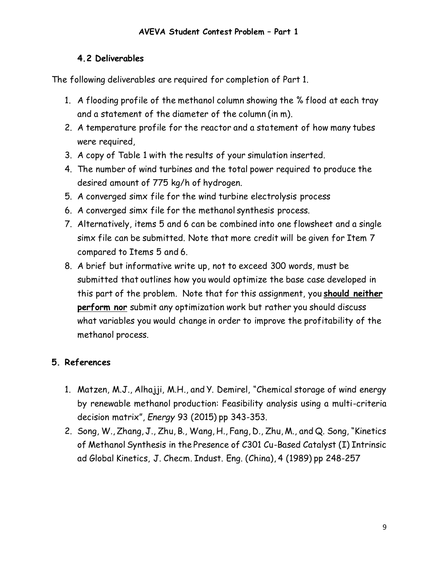#### **4.2 Deliverables**

The following deliverables are required for completion of Part 1.

- 1. A flooding profile of the methanol column showing the % flood at each tray and a statement of the diameter of the column (in m).
- 2. A temperature profile for the reactor and a statement of how many tubes were required,
- 3. A copy of Table 1 with the results of your simulation inserted.
- 4. The number of wind turbines and the total power required to produce the desired amount of 775 kg/h of hydrogen.
- 5. A converged simx file for the wind turbine electrolysis process
- 6. A converged simx file for the methanol synthesis process.
- 7. Alternatively, items 5 and 6 can be combined into one flowsheet and a single simx file can be submitted. Note that more credit will be given for Item 7 compared to Items 5 and 6.
- 8. A brief but informative write up, not to exceed 300 words, must be submitted that outlines how you would optimize the base case developed in this part of the problem. Note that for this assignment, you **should neither perform nor** submit any optimization work but rather you should discuss what variables you would change in order to improve the profitability of the methanol process.

## **5. References**

- 1. Matzen, M.J., Alhajji, M.H., and Y. Demirel, "Chemical storage of wind energy by renewable methanol production: Feasibility analysis using a multi-criteria decision matrix", *Energy* 93 (2015) pp 343-353.
- 2. Song, W., Zhang, J., Zhu, B., Wang, H., Fang, D., Zhu, M., and Q. Song, "Kinetics of Methanol Synthesis in the Presence of C301 Cu-Based Catalyst (I) Intrinsic ad Global Kinetics, J. Checm. Indust. Eng. (China), 4 (1989) pp 248-257